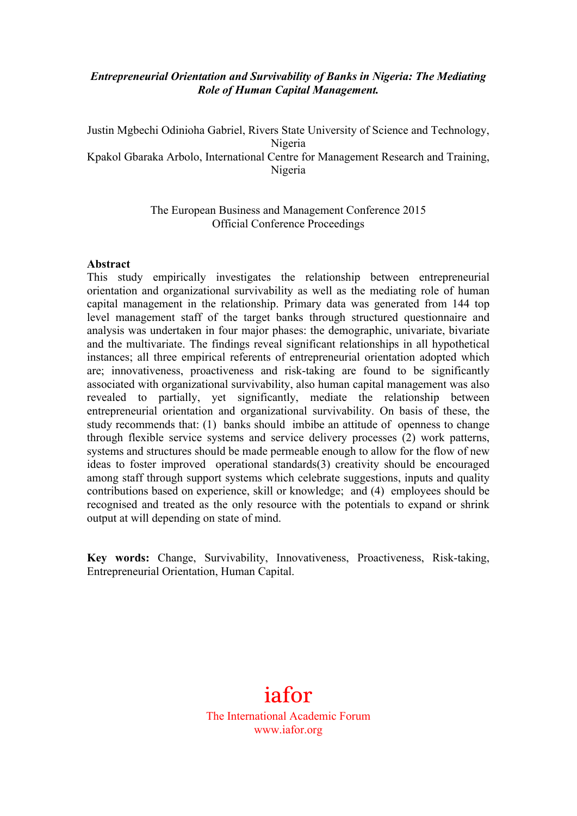## *Entrepreneurial Orientation and Survivability of Banks in Nigeria: The Mediating Role of Human Capital Management.*

Justin Mgbechi Odinioha Gabriel, Rivers State University of Science and Technology, Nigeria Kpakol Gbaraka Arbolo, International Centre for Management Research and Training, Nigeria

> The European Business and Management Conference 2015 Official Conference Proceedings

#### **Abstract**

This study empirically investigates the relationship between entrepreneurial orientation and organizational survivability as well as the mediating role of human capital management in the relationship. Primary data was generated from 144 top level management staff of the target banks through structured questionnaire and analysis was undertaken in four major phases: the demographic, univariate, bivariate and the multivariate. The findings reveal significant relationships in all hypothetical instances; all three empirical referents of entrepreneurial orientation adopted which are; innovativeness, proactiveness and risk-taking are found to be significantly associated with organizational survivability, also human capital management was also revealed to partially, yet significantly, mediate the relationship between entrepreneurial orientation and organizational survivability. On basis of these, the study recommends that: (1) banks should imbibe an attitude of openness to change through flexible service systems and service delivery processes (2) work patterns, systems and structures should be made permeable enough to allow for the flow of new ideas to foster improved operational standards(3) creativity should be encouraged among staff through support systems which celebrate suggestions, inputs and quality contributions based on experience, skill or knowledge; and (4) employees should be recognised and treated as the only resource with the potentials to expand or shrink output at will depending on state of mind.

**Key words:** Change, Survivability, Innovativeness, Proactiveness, Risk-taking, Entrepreneurial Orientation, Human Capital.

# iafor The International Academic Forum www.iafor.org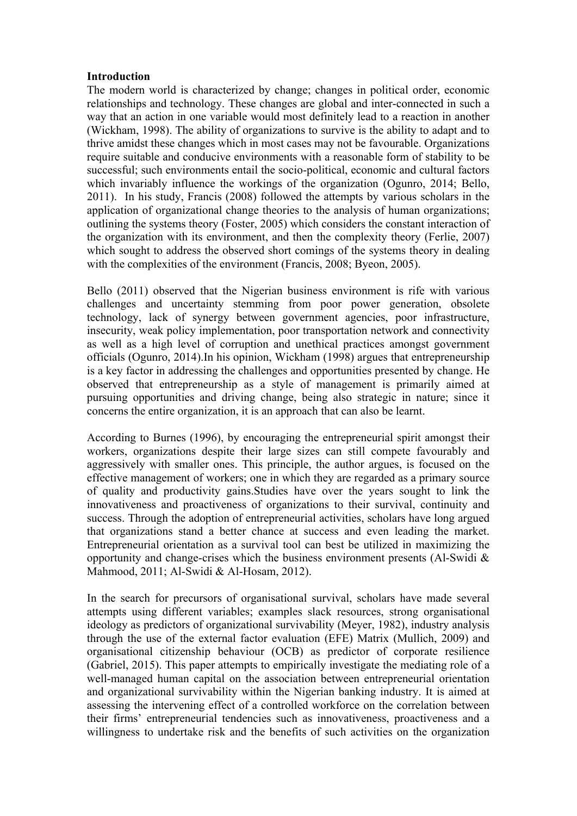#### **Introduction**

The modern world is characterized by change; changes in political order, economic relationships and technology. These changes are global and inter-connected in such a way that an action in one variable would most definitely lead to a reaction in another (Wickham, 1998). The ability of organizations to survive is the ability to adapt and to thrive amidst these changes which in most cases may not be favourable. Organizations require suitable and conducive environments with a reasonable form of stability to be successful; such environments entail the socio-political, economic and cultural factors which invariably influence the workings of the organization (Ogunro, 2014; Bello, 2011). In his study, Francis (2008) followed the attempts by various scholars in the application of organizational change theories to the analysis of human organizations; outlining the systems theory (Foster, 2005) which considers the constant interaction of the organization with its environment, and then the complexity theory (Ferlie, 2007) which sought to address the observed short comings of the systems theory in dealing with the complexities of the environment (Francis, 2008; Byeon, 2005).

Bello (2011) observed that the Nigerian business environment is rife with various challenges and uncertainty stemming from poor power generation, obsolete technology, lack of synergy between government agencies, poor infrastructure, insecurity, weak policy implementation, poor transportation network and connectivity as well as a high level of corruption and unethical practices amongst government officials (Ogunro, 2014).In his opinion, Wickham (1998) argues that entrepreneurship is a key factor in addressing the challenges and opportunities presented by change. He observed that entrepreneurship as a style of management is primarily aimed at pursuing opportunities and driving change, being also strategic in nature; since it concerns the entire organization, it is an approach that can also be learnt.

According to Burnes (1996), by encouraging the entrepreneurial spirit amongst their workers, organizations despite their large sizes can still compete favourably and aggressively with smaller ones. This principle, the author argues, is focused on the effective management of workers; one in which they are regarded as a primary source of quality and productivity gains.Studies have over the years sought to link the innovativeness and proactiveness of organizations to their survival, continuity and success. Through the adoption of entrepreneurial activities, scholars have long argued that organizations stand a better chance at success and even leading the market. Entrepreneurial orientation as a survival tool can best be utilized in maximizing the opportunity and change-crises which the business environment presents (Al-Swidi  $\&$ Mahmood, 2011; Al-Swidi & Al-Hosam, 2012).

In the search for precursors of organisational survival, scholars have made several attempts using different variables; examples slack resources, strong organisational ideology as predictors of organizational survivability (Meyer, 1982), industry analysis through the use of the external factor evaluation (EFE) Matrix (Mullich, 2009) and organisational citizenship behaviour (OCB) as predictor of corporate resilience (Gabriel, 2015). This paper attempts to empirically investigate the mediating role of a well-managed human capital on the association between entrepreneurial orientation and organizational survivability within the Nigerian banking industry. It is aimed at assessing the intervening effect of a controlled workforce on the correlation between their firms' entrepreneurial tendencies such as innovativeness, proactiveness and a willingness to undertake risk and the benefits of such activities on the organization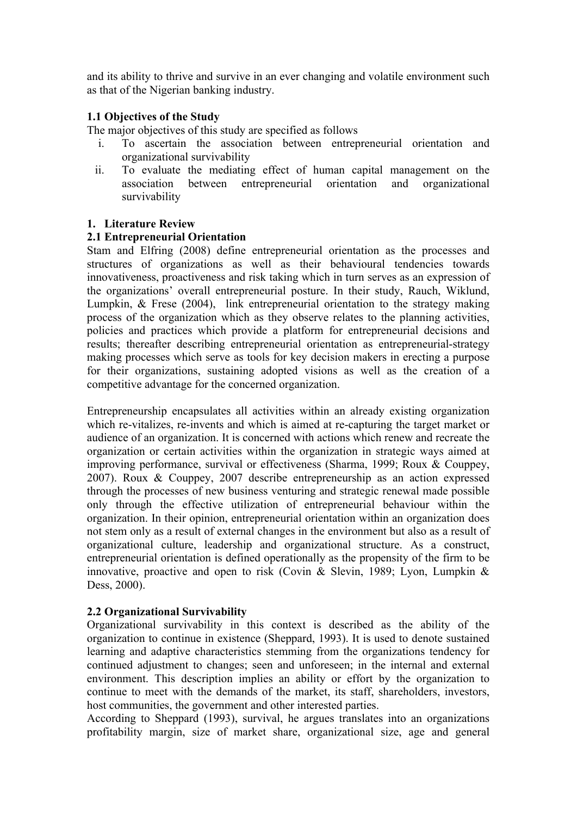and its ability to thrive and survive in an ever changing and volatile environment such as that of the Nigerian banking industry.

## **1.1 Objectives of the Study**

The major objectives of this study are specified as follows

- i. To ascertain the association between entrepreneurial orientation and organizational survivability
- ii. To evaluate the mediating effect of human capital management on the association between entrepreneurial orientation and organizational survivability

## **1. Literature Review**

## **2.1 Entrepreneurial Orientation**

Stam and Elfring (2008) define entrepreneurial orientation as the processes and structures of organizations as well as their behavioural tendencies towards innovativeness, proactiveness and risk taking which in turn serves as an expression of the organizations' overall entrepreneurial posture. In their study, Rauch, Wiklund, Lumpkin, & Frese (2004), link entrepreneurial orientation to the strategy making process of the organization which as they observe relates to the planning activities, policies and practices which provide a platform for entrepreneurial decisions and results; thereafter describing entrepreneurial orientation as entrepreneurial-strategy making processes which serve as tools for key decision makers in erecting a purpose for their organizations, sustaining adopted visions as well as the creation of a competitive advantage for the concerned organization.

Entrepreneurship encapsulates all activities within an already existing organization which re-vitalizes, re-invents and which is aimed at re-capturing the target market or audience of an organization. It is concerned with actions which renew and recreate the organization or certain activities within the organization in strategic ways aimed at improving performance, survival or effectiveness (Sharma, 1999; Roux & Couppey, 2007). Roux & Couppey, 2007 describe entrepreneurship as an action expressed through the processes of new business venturing and strategic renewal made possible only through the effective utilization of entrepreneurial behaviour within the organization. In their opinion, entrepreneurial orientation within an organization does not stem only as a result of external changes in the environment but also as a result of organizational culture, leadership and organizational structure. As a construct, entrepreneurial orientation is defined operationally as the propensity of the firm to be innovative, proactive and open to risk (Covin & Slevin, 1989; Lyon, Lumpkin & Dess, 2000).

# **2.2 Organizational Survivability**

Organizational survivability in this context is described as the ability of the organization to continue in existence (Sheppard, 1993). It is used to denote sustained learning and adaptive characteristics stemming from the organizations tendency for continued adjustment to changes; seen and unforeseen; in the internal and external environment. This description implies an ability or effort by the organization to continue to meet with the demands of the market, its staff, shareholders, investors, host communities, the government and other interested parties.

According to Sheppard (1993), survival, he argues translates into an organizations profitability margin, size of market share, organizational size, age and general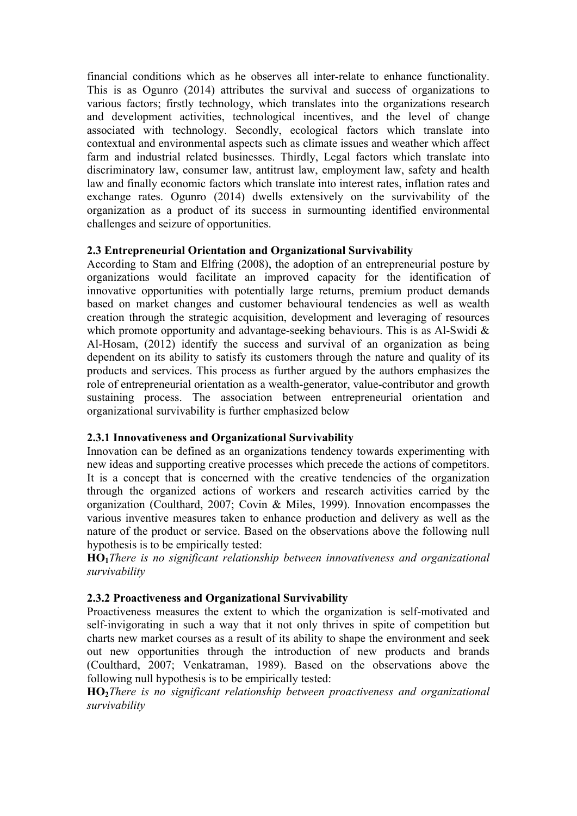financial conditions which as he observes all inter-relate to enhance functionality. This is as Ogunro (2014) attributes the survival and success of organizations to various factors; firstly technology, which translates into the organizations research and development activities, technological incentives, and the level of change associated with technology. Secondly, ecological factors which translate into contextual and environmental aspects such as climate issues and weather which affect farm and industrial related businesses. Thirdly, Legal factors which translate into discriminatory law, consumer law, antitrust law, employment law, safety and health law and finally economic factors which translate into interest rates, inflation rates and exchange rates. Ogunro (2014) dwells extensively on the survivability of the organization as a product of its success in surmounting identified environmental challenges and seizure of opportunities.

# **2.3 Entrepreneurial Orientation and Organizational Survivability**

According to Stam and Elfring (2008), the adoption of an entrepreneurial posture by organizations would facilitate an improved capacity for the identification of innovative opportunities with potentially large returns, premium product demands based on market changes and customer behavioural tendencies as well as wealth creation through the strategic acquisition, development and leveraging of resources which promote opportunity and advantage-seeking behaviours. This is as Al-Swidi & Al-Hosam, (2012) identify the success and survival of an organization as being dependent on its ability to satisfy its customers through the nature and quality of its products and services. This process as further argued by the authors emphasizes the role of entrepreneurial orientation as a wealth-generator, value-contributor and growth sustaining process. The association between entrepreneurial orientation and organizational survivability is further emphasized below

# **2.3.1 Innovativeness and Organizational Survivability**

Innovation can be defined as an organizations tendency towards experimenting with new ideas and supporting creative processes which precede the actions of competitors. It is a concept that is concerned with the creative tendencies of the organization through the organized actions of workers and research activities carried by the organization (Coulthard, 2007; Covin & Miles, 1999). Innovation encompasses the various inventive measures taken to enhance production and delivery as well as the nature of the product or service. Based on the observations above the following null hypothesis is to be empirically tested:

**HO1***There is no significant relationship between innovativeness and organizational survivability*

# **2.3.2 Proactiveness and Organizational Survivability**

Proactiveness measures the extent to which the organization is self-motivated and self-invigorating in such a way that it not only thrives in spite of competition but charts new market courses as a result of its ability to shape the environment and seek out new opportunities through the introduction of new products and brands (Coulthard, 2007; Venkatraman, 1989). Based on the observations above the following null hypothesis is to be empirically tested:

**HO2***There is no significant relationship between proactiveness and organizational survivability*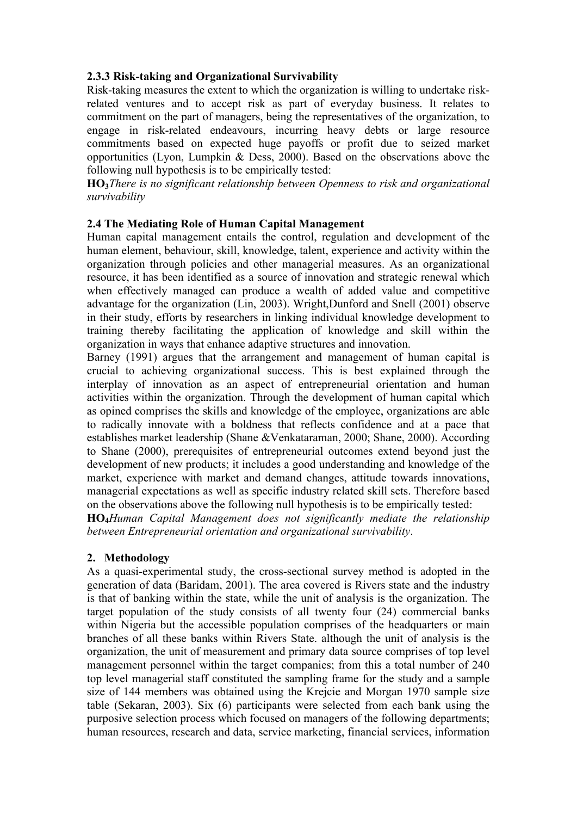# **2.3.3 Risk-taking and Organizational Survivability**

Risk-taking measures the extent to which the organization is willing to undertake riskrelated ventures and to accept risk as part of everyday business. It relates to commitment on the part of managers, being the representatives of the organization, to engage in risk-related endeavours, incurring heavy debts or large resource commitments based on expected huge payoffs or profit due to seized market opportunities (Lyon, Lumpkin & Dess, 2000). Based on the observations above the following null hypothesis is to be empirically tested:

**HO3***There is no significant relationship between Openness to risk and organizational survivability*

## **2.4 The Mediating Role of Human Capital Management**

Human capital management entails the control, regulation and development of the human element, behaviour, skill, knowledge, talent, experience and activity within the organization through policies and other managerial measures. As an organizational resource, it has been identified as a source of innovation and strategic renewal which when effectively managed can produce a wealth of added value and competitive advantage for the organization (Lin, 2003). Wright,Dunford and Snell (2001) observe in their study, efforts by researchers in linking individual knowledge development to training thereby facilitating the application of knowledge and skill within the organization in ways that enhance adaptive structures and innovation.

Barney (1991) argues that the arrangement and management of human capital is crucial to achieving organizational success. This is best explained through the interplay of innovation as an aspect of entrepreneurial orientation and human activities within the organization. Through the development of human capital which as opined comprises the skills and knowledge of the employee, organizations are able to radically innovate with a boldness that reflects confidence and at a pace that establishes market leadership (Shane &Venkataraman, 2000; Shane, 2000). According to Shane (2000), prerequisites of entrepreneurial outcomes extend beyond just the development of new products; it includes a good understanding and knowledge of the market, experience with market and demand changes, attitude towards innovations, managerial expectations as well as specific industry related skill sets. Therefore based on the observations above the following null hypothesis is to be empirically tested:

**HO4***Human Capital Management does not significantly mediate the relationship between Entrepreneurial orientation and organizational survivability*.

# **2. Methodology**

As a quasi-experimental study, the cross-sectional survey method is adopted in the generation of data (Baridam, 2001). The area covered is Rivers state and the industry is that of banking within the state, while the unit of analysis is the organization. The target population of the study consists of all twenty four (24) commercial banks within Nigeria but the accessible population comprises of the headquarters or main branches of all these banks within Rivers State. although the unit of analysis is the organization, the unit of measurement and primary data source comprises of top level management personnel within the target companies; from this a total number of 240 top level managerial staff constituted the sampling frame for the study and a sample size of 144 members was obtained using the Krejcie and Morgan 1970 sample size table (Sekaran, 2003). Six (6) participants were selected from each bank using the purposive selection process which focused on managers of the following departments; human resources, research and data, service marketing, financial services, information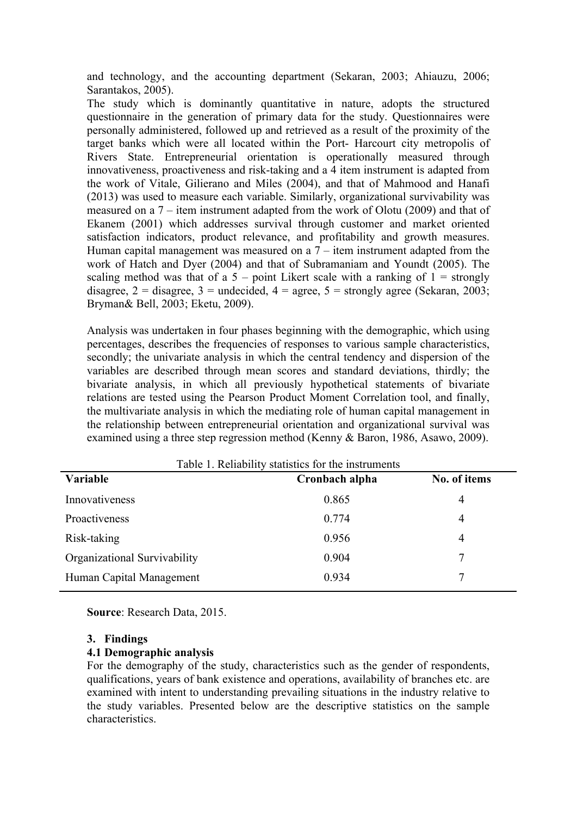and technology, and the accounting department (Sekaran, 2003; Ahiauzu, 2006; Sarantakos, 2005).

The study which is dominantly quantitative in nature, adopts the structured questionnaire in the generation of primary data for the study. Questionnaires were personally administered, followed up and retrieved as a result of the proximity of the target banks which were all located within the Port- Harcourt city metropolis of Rivers State. Entrepreneurial orientation is operationally measured through innovativeness, proactiveness and risk-taking and a 4 item instrument is adapted from the work of Vitale, Gilierano and Miles (2004), and that of Mahmood and Hanafi (2013) was used to measure each variable. Similarly, organizational survivability was measured on a 7 – item instrument adapted from the work of Olotu (2009) and that of Ekanem (2001) which addresses survival through customer and market oriented satisfaction indicators, product relevance, and profitability and growth measures. Human capital management was measured on a  $7$  – item instrument adapted from the work of Hatch and Dyer (2004) and that of Subramaniam and Youndt (2005). The scaling method was that of a  $5$  – point Likert scale with a ranking of  $1$  = strongly disagree,  $2 =$  disagree,  $3 =$  undecided,  $4 =$  agree,  $5 =$  strongly agree (Sekaran, 2003; Bryman& Bell, 2003; Eketu, 2009).

Analysis was undertaken in four phases beginning with the demographic, which using percentages, describes the frequencies of responses to various sample characteristics, secondly; the univariate analysis in which the central tendency and dispersion of the variables are described through mean scores and standard deviations, thirdly; the bivariate analysis, in which all previously hypothetical statements of bivariate relations are tested using the Pearson Product Moment Correlation tool, and finally, the multivariate analysis in which the mediating role of human capital management in the relationship between entrepreneurial orientation and organizational survival was examined using a three step regression method (Kenny & Baron, 1986, Asawo, 2009).

| Cronbach alpha | No. of items                                        |
|----------------|-----------------------------------------------------|
| 0.865          | 4                                                   |
| 0.774          | $\overline{4}$                                      |
| 0.956          | 4                                                   |
| 0.904          | 7                                                   |
| 0.934          |                                                     |
|                | Table 1. Reliability statistics for the instruments |

 $T$  and  $T$  reliability statistics for the instruments for the instruments of the instruments of the instruments of the instruments of the instruments of the instruments of the instruments of the instruments of the instru

**Source**: Research Data, 2015.

#### **3. Findings**

#### **4.1 Demographic analysis**

For the demography of the study, characteristics such as the gender of respondents, qualifications, years of bank existence and operations, availability of branches etc. are examined with intent to understanding prevailing situations in the industry relative to the study variables. Presented below are the descriptive statistics on the sample characteristics.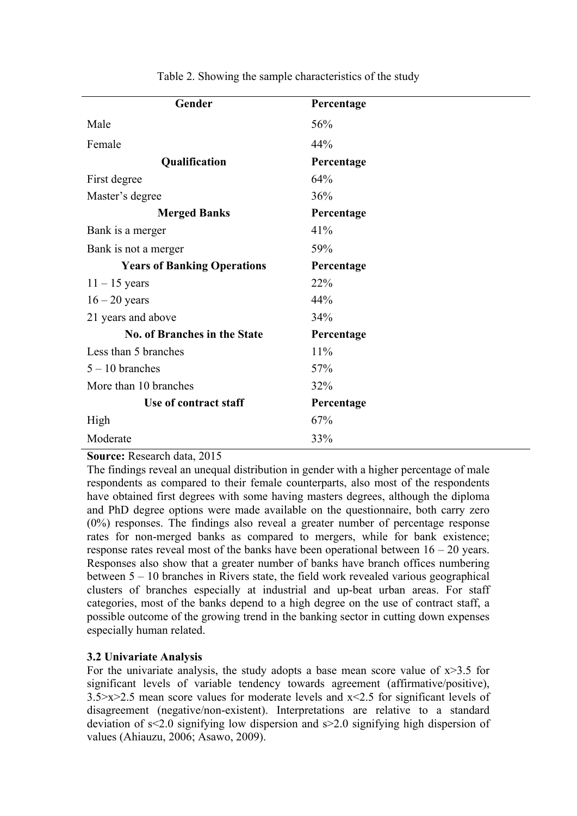| Gender                              | Percentage |
|-------------------------------------|------------|
| Male                                | 56%        |
| Female                              | 44%        |
| Qualification                       | Percentage |
| First degree                        | 64%        |
| Master's degree                     | 36%        |
| <b>Merged Banks</b>                 | Percentage |
| Bank is a merger                    | 41%        |
| Bank is not a merger                | 59%        |
| <b>Years of Banking Operations</b>  | Percentage |
| $11 - 15$ years                     | 22%        |
| $16 - 20$ years                     | 44%        |
| 21 years and above                  | 34%        |
| <b>No. of Branches in the State</b> | Percentage |
| Less than 5 branches                | 11%        |
| $5 - 10$ branches                   | 57%        |
| More than 10 branches               | 32%        |
| Use of contract staff               | Percentage |
| High                                | 67%        |
| Moderate                            | 33%        |

Table 2. Showing the sample characteristics of the study

# **Source:** Research data, 2015

The findings reveal an unequal distribution in gender with a higher percentage of male respondents as compared to their female counterparts, also most of the respondents have obtained first degrees with some having masters degrees, although the diploma and PhD degree options were made available on the questionnaire, both carry zero (0%) responses. The findings also reveal a greater number of percentage response rates for non-merged banks as compared to mergers, while for bank existence; response rates reveal most of the banks have been operational between  $16 - 20$  years. Responses also show that a greater number of banks have branch offices numbering between 5 – 10 branches in Rivers state, the field work revealed various geographical clusters of branches especially at industrial and up-beat urban areas. For staff categories, most of the banks depend to a high degree on the use of contract staff, a possible outcome of the growing trend in the banking sector in cutting down expenses especially human related.

# **3.2 Univariate Analysis**

For the univariate analysis, the study adopts a base mean score value of  $x > 3.5$  for significant levels of variable tendency towards agreement (affirmative/positive),  $3.5 \times 2.5$  mean score values for moderate levels and  $x \le 2.5$  for significant levels of disagreement (negative/non-existent). Interpretations are relative to a standard deviation of s<2.0 signifying low dispersion and s>2.0 signifying high dispersion of values (Ahiauzu, 2006; Asawo, 2009).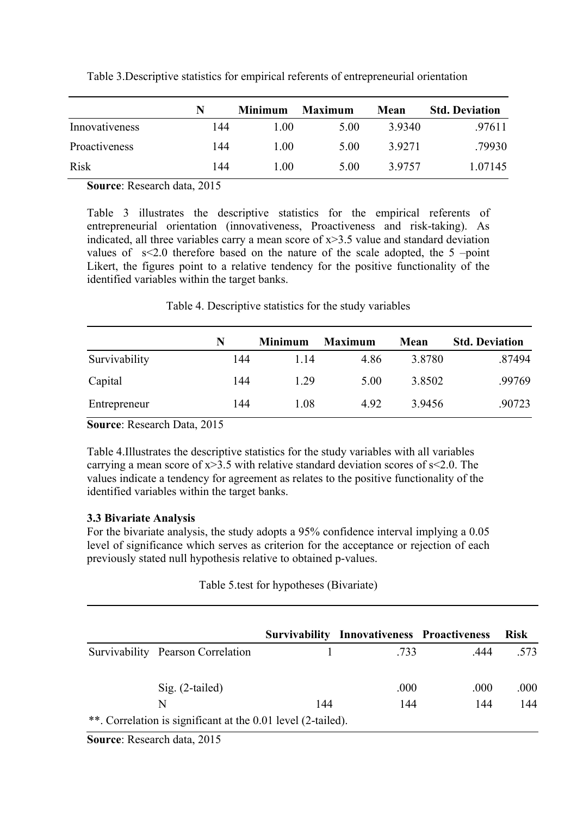|                | N   | <b>Minimum</b> | <b>Maximum</b> | Mean   | <b>Std. Deviation</b> |
|----------------|-----|----------------|----------------|--------|-----------------------|
| Innovativeness | 144 | 1.00           | 5.00           | 39340  | .97611                |
| Proactiveness  | 144 | 1.00           | 5.00           | 3.9271 | .79930                |
| Risk           | 144 | 1.00           | 5.00           | 39757  | 1.07145               |

Table 3.Descriptive statistics for empirical referents of entrepreneurial orientation

**Source**: Research data, 2015

Table 3 illustrates the descriptive statistics for the empirical referents of entrepreneurial orientation (innovativeness, Proactiveness and risk-taking). As indicated, all three variables carry a mean score of  $x > 3.5$  value and standard deviation values of s<2.0 therefore based on the nature of the scale adopted, the 5 –point Likert, the figures point to a relative tendency for the positive functionality of the identified variables within the target banks.

Table 4. Descriptive statistics for the study variables

|               | N   | Minimum | <b>Maximum</b> | Mean   | <b>Std. Deviation</b> |
|---------------|-----|---------|----------------|--------|-----------------------|
| Survivability | 144 | 114     | 4.86           | 3.8780 | .87494                |
| Capital       | 144 | 1 29    | 5.00           | 3.8502 | .99769                |
| Entrepreneur  | 144 | 1.08    | 492            | 3.9456 | .90723                |

**Source**: Research Data, 2015

Table 4.Illustrates the descriptive statistics for the study variables with all variables carrying a mean score of  $x > 3.5$  with relative standard deviation scores of  $s < 2.0$ . The values indicate a tendency for agreement as relates to the positive functionality of the identified variables within the target banks.

# **3.3 Bivariate Analysis**

For the bivariate analysis, the study adopts a 95% confidence interval implying a 0.05 level of significance which serves as criterion for the acceptance or rejection of each previously stated null hypothesis relative to obtained p-values.

# Table 5.test for hypotheses (Bivariate)

|                                                              |     | <b>Survivability Innovativeness Proactiveness</b> |      | <b>Risk</b> |
|--------------------------------------------------------------|-----|---------------------------------------------------|------|-------------|
| Survivability Pearson Correlation                            |     | 733                                               | 444  | .573        |
| $Sig. (2-tailed)$                                            |     | .000                                              | .000 | .000        |
| N                                                            | 144 | 144                                               | 144  | 144         |
| **. Correlation is significant at the 0.01 level (2-tailed). |     |                                                   |      |             |

**Source**: Research data, 2015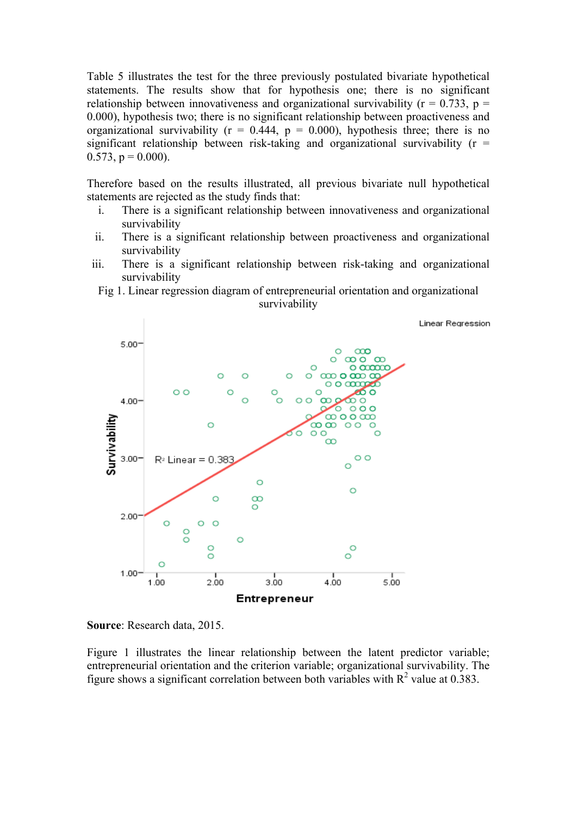Table 5 illustrates the test for the three previously postulated bivariate hypothetical statements. The results show that for hypothesis one; there is no significant relationship between innovativeness and organizational survivability ( $r = 0.733$ ,  $p =$ 0.000), hypothesis two; there is no significant relationship between proactiveness and organizational survivability ( $r = 0.444$ ,  $p = 0.000$ ), hypothesis three; there is no significant relationship between risk-taking and organizational survivability  $(r =$  $0.573$ ,  $p = 0.000$ ).

Therefore based on the results illustrated, all previous bivariate null hypothetical statements are rejected as the study finds that:

- i. There is a significant relationship between innovativeness and organizational survivability
- ii. There is a significant relationship between proactiveness and organizational survivability
- iii. There is a significant relationship between risk-taking and organizational survivability
- Fig 1. Linear regression diagram of entrepreneurial orientation and organizational survivability



**Source**: Research data, 2015.

Figure 1 illustrates the linear relationship between the latent predictor variable; entrepreneurial orientation and the criterion variable; organizational survivability. The figure shows a significant correlation between both variables with  $R^2$  value at 0.383.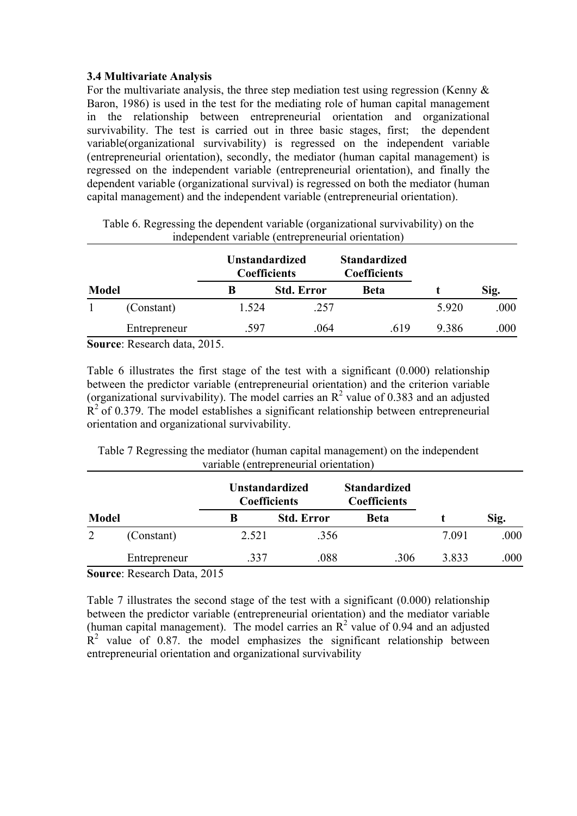## **3.4 Multivariate Analysis**

For the multivariate analysis, the three step mediation test using regression (Kenny  $\&$ Baron, 1986) is used in the test for the mediating role of human capital management in the relationship between entrepreneurial orientation and organizational survivability. The test is carried out in three basic stages, first; the dependent variable(organizational survivability) is regressed on the independent variable (entrepreneurial orientation), secondly, the mediator (human capital management) is regressed on the independent variable (entrepreneurial orientation), and finally the dependent variable (organizational survival) is regressed on both the mediator (human capital management) and the independent variable (entrepreneurial orientation).

|              |              | <b>Unstandardized</b><br><b>Coefficients</b> |                   | <b>Standardized</b><br><b>Coefficients</b> |       |      |
|--------------|--------------|----------------------------------------------|-------------------|--------------------------------------------|-------|------|
| <b>Model</b> |              | В                                            | <b>Std. Error</b> | <b>Beta</b>                                |       | Sig. |
|              | (Constant)   | 1.524                                        | .257              |                                            | 5.920 | .000 |
|              | Entrepreneur | .597                                         | .064              | .619                                       | 9.386 | .000 |

Table 6. Regressing the dependent variable (organizational survivability) on the independent variable (entrepreneurial orientation)

**Source**: Research data, 2015.

Table 6 illustrates the first stage of the test with a significant (0.000) relationship between the predictor variable (entrepreneurial orientation) and the criterion variable (organizational survivability). The model carries an  $\mathbb{R}^2$  value of 0.383 and an adjusted  $R<sup>2</sup>$  of 0.379. The model establishes a significant relationship between entrepreneurial orientation and organizational survivability.

Table 7 Regressing the mediator (human capital management) on the independent variable (entrepreneurial orientation)

| Model |                                                                                                                                                                                                                                                                                                                                                                                                                                      | <b>Unstandardized</b><br><b>Coefficients</b> |                   | <b>Standardized</b><br><b>Coefficients</b> |       |      |
|-------|--------------------------------------------------------------------------------------------------------------------------------------------------------------------------------------------------------------------------------------------------------------------------------------------------------------------------------------------------------------------------------------------------------------------------------------|----------------------------------------------|-------------------|--------------------------------------------|-------|------|
|       |                                                                                                                                                                                                                                                                                                                                                                                                                                      | B                                            | <b>Std. Error</b> | <b>Beta</b>                                |       | Sig. |
| 2     | (Constant)                                                                                                                                                                                                                                                                                                                                                                                                                           | 2.521                                        | .356              |                                            | 7.091 | .000 |
|       | Entrepreneur                                                                                                                                                                                                                                                                                                                                                                                                                         | .337                                         | .088              | .306                                       | 3.833 | .000 |
|       | $R_{\text{2}}$ $\rightarrow$ $R_{\text{2}}$ $\rightarrow$ $R_{\text{2}}$ $\rightarrow$ $R_{\text{2}}$ $\rightarrow$ $R_{\text{2}}$ $\rightarrow$ $R_{\text{2}}$ $\rightarrow$ $R_{\text{2}}$ $\rightarrow$ $R_{\text{2}}$ $\rightarrow$ $R_{\text{2}}$ $\rightarrow$ $R_{\text{2}}$ $\rightarrow$ $R_{\text{2}}$ $\rightarrow$ $R_{\text{2}}$ $\rightarrow$ $R_{\text{2}}$ $\rightarrow$ $R_{\text{2}}$ $\rightarrow$ $R_{\text{2}}$ |                                              |                   |                                            |       |      |

**Source**: Research Data, 2015

Table 7 illustrates the second stage of the test with a significant (0.000) relationship between the predictor variable (entrepreneurial orientation) and the mediator variable (human capital management). The model carries an  $R^2$  value of 0.94 and an adjusted  $R<sup>2</sup>$  value of 0.87, the model emphasizes the significant relationship between entrepreneurial orientation and organizational survivability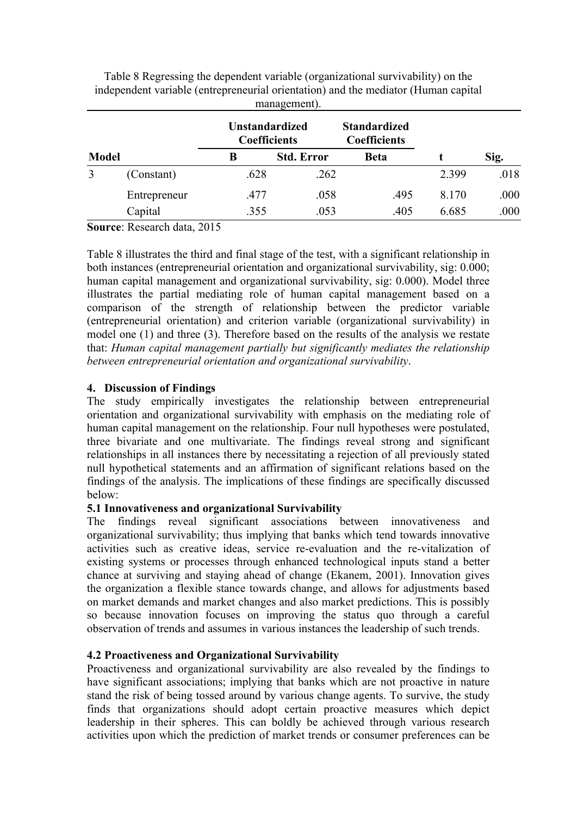|              |              |                                              | management).      |                                            |       |      |
|--------------|--------------|----------------------------------------------|-------------------|--------------------------------------------|-------|------|
| <b>Model</b> |              | <b>Unstandardized</b><br><b>Coefficients</b> |                   | <b>Standardized</b><br><b>Coefficients</b> |       |      |
|              |              | B                                            | <b>Std. Error</b> | <b>Beta</b>                                |       | Sig. |
| 3            | (Constant)   | .628                                         | .262              |                                            | 2.399 | .018 |
|              | Entrepreneur | .477                                         | .058              | .495                                       | 8.170 | .000 |
|              | Capital      | .355                                         | .053              | .405                                       | 6.685 | .000 |

Table 8 Regressing the dependent variable (organizational survivability) on the independent variable (entrepreneurial orientation) and the mediator (Human capital

**Source**: Research data, 2015

Table 8 illustrates the third and final stage of the test, with a significant relationship in both instances (entrepreneurial orientation and organizational survivability, sig: 0.000; human capital management and organizational survivability, sig: 0.000). Model three illustrates the partial mediating role of human capital management based on a comparison of the strength of relationship between the predictor variable (entrepreneurial orientation) and criterion variable (organizational survivability) in model one (1) and three (3). Therefore based on the results of the analysis we restate that: *Human capital management partially but significantly mediates the relationship between entrepreneurial orientation and organizational survivability*.

## **4. Discussion of Findings**

The study empirically investigates the relationship between entrepreneurial orientation and organizational survivability with emphasis on the mediating role of human capital management on the relationship. Four null hypotheses were postulated, three bivariate and one multivariate. The findings reveal strong and significant relationships in all instances there by necessitating a rejection of all previously stated null hypothetical statements and an affirmation of significant relations based on the findings of the analysis. The implications of these findings are specifically discussed below:

#### **5.1 Innovativeness and organizational Survivability**

The findings reveal significant associations between innovativeness and organizational survivability; thus implying that banks which tend towards innovative activities such as creative ideas, service re-evaluation and the re-vitalization of existing systems or processes through enhanced technological inputs stand a better chance at surviving and staying ahead of change (Ekanem, 2001). Innovation gives the organization a flexible stance towards change, and allows for adjustments based on market demands and market changes and also market predictions. This is possibly so because innovation focuses on improving the status quo through a careful observation of trends and assumes in various instances the leadership of such trends.

### **4.2 Proactiveness and Organizational Survivability**

Proactiveness and organizational survivability are also revealed by the findings to have significant associations; implying that banks which are not proactive in nature stand the risk of being tossed around by various change agents. To survive, the study finds that organizations should adopt certain proactive measures which depict leadership in their spheres. This can boldly be achieved through various research activities upon which the prediction of market trends or consumer preferences can be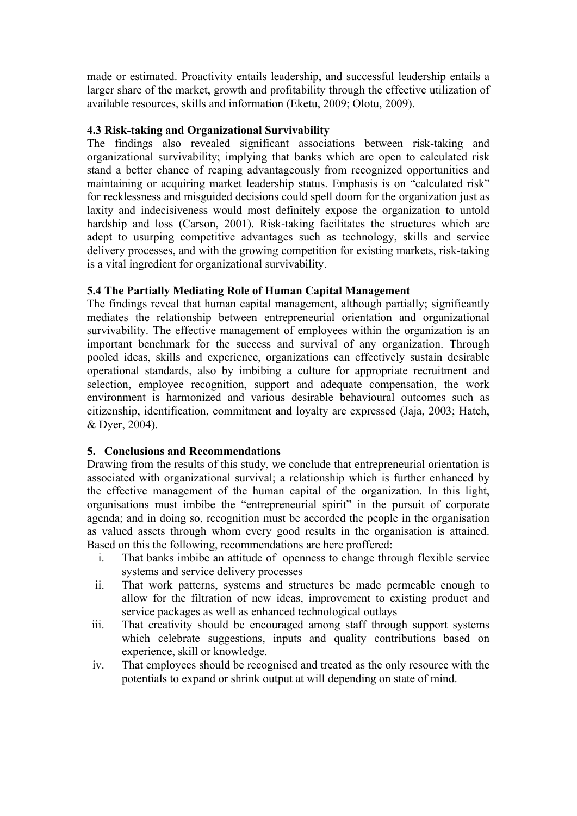made or estimated. Proactivity entails leadership, and successful leadership entails a larger share of the market, growth and profitability through the effective utilization of available resources, skills and information (Eketu, 2009; Olotu, 2009).

# **4.3 Risk-taking and Organizational Survivability**

The findings also revealed significant associations between risk-taking and organizational survivability; implying that banks which are open to calculated risk stand a better chance of reaping advantageously from recognized opportunities and maintaining or acquiring market leadership status. Emphasis is on "calculated risk" for recklessness and misguided decisions could spell doom for the organization just as laxity and indecisiveness would most definitely expose the organization to untold hardship and loss (Carson, 2001). Risk-taking facilitates the structures which are adept to usurping competitive advantages such as technology, skills and service delivery processes, and with the growing competition for existing markets, risk-taking is a vital ingredient for organizational survivability.

## **5.4 The Partially Mediating Role of Human Capital Management**

The findings reveal that human capital management, although partially; significantly mediates the relationship between entrepreneurial orientation and organizational survivability. The effective management of employees within the organization is an important benchmark for the success and survival of any organization. Through pooled ideas, skills and experience, organizations can effectively sustain desirable operational standards, also by imbibing a culture for appropriate recruitment and selection, employee recognition, support and adequate compensation, the work environment is harmonized and various desirable behavioural outcomes such as citizenship, identification, commitment and loyalty are expressed (Jaja, 2003; Hatch, & Dyer, 2004).

# **5. Conclusions and Recommendations**

Drawing from the results of this study, we conclude that entrepreneurial orientation is associated with organizational survival; a relationship which is further enhanced by the effective management of the human capital of the organization. In this light, organisations must imbibe the "entrepreneurial spirit" in the pursuit of corporate agenda; and in doing so, recognition must be accorded the people in the organisation as valued assets through whom every good results in the organisation is attained. Based on this the following, recommendations are here proffered:

- i. That banks imbibe an attitude of openness to change through flexible service systems and service delivery processes
- ii. That work patterns, systems and structures be made permeable enough to allow for the filtration of new ideas, improvement to existing product and service packages as well as enhanced technological outlays
- iii. That creativity should be encouraged among staff through support systems which celebrate suggestions, inputs and quality contributions based on experience, skill or knowledge.
- iv. That employees should be recognised and treated as the only resource with the potentials to expand or shrink output at will depending on state of mind.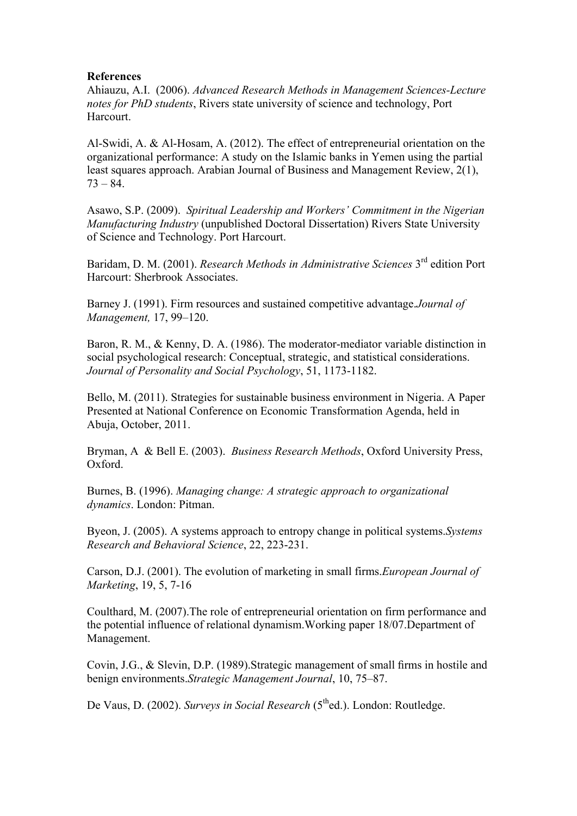#### **References**

Ahiauzu, A.I. (2006). *Advanced Research Methods in Management Sciences-Lecture notes for PhD students*, Rivers state university of science and technology, Port Harcourt.

Al-Swidi, A. & Al-Hosam, A. (2012). The effect of entrepreneurial orientation on the organizational performance: A study on the Islamic banks in Yemen using the partial least squares approach. Arabian Journal of Business and Management Review, 2(1), 73 – 84.

Asawo, S.P. (2009). *Spiritual Leadership and Workers' Commitment in the Nigerian Manufacturing Industry* (unpublished Doctoral Dissertation) Rivers State University of Science and Technology. Port Harcourt.

Baridam, D. M. (2001). *Research Methods in Administrative Sciences* 3rd edition Port Harcourt: Sherbrook Associates.

Barney J. (1991). Firm resources and sustained competitive advantage.*Journal of Management,* 17, 99–120.

Baron, R. M., & Kenny, D. A. (1986). The moderator-mediator variable distinction in social psychological research: Conceptual, strategic, and statistical considerations. *Journal of Personality and Social Psychology*, 51, 1173-1182.

Bello, M. (2011). Strategies for sustainable business environment in Nigeria. A Paper Presented at National Conference on Economic Transformation Agenda, held in Abuja, October, 2011.

Bryman, A & Bell E. (2003). *Business Research Methods*, Oxford University Press, Oxford.

Burnes, B. (1996). *Managing change: A strategic approach to organizational dynamics*. London: Pitman.

Byeon, J. (2005). A systems approach to entropy change in political systems.*Systems Research and Behavioral Science*, 22, 223-231.

Carson, D.J. (2001). The evolution of marketing in small firms.*European Journal of Marketing*, 19, 5, 7-16

Coulthard, M. (2007).The role of entrepreneurial orientation on firm performance and the potential influence of relational dynamism.Working paper 18/07.Department of Management.

Covin, J.G., & Slevin, D.P. (1989).Strategic management of small firms in hostile and benign environments.*Strategic Management Journal*, 10, 75–87.

De Vaus, D. (2002). *Surveys in Social Research* (5<sup>th</sup>ed.). London: Routledge.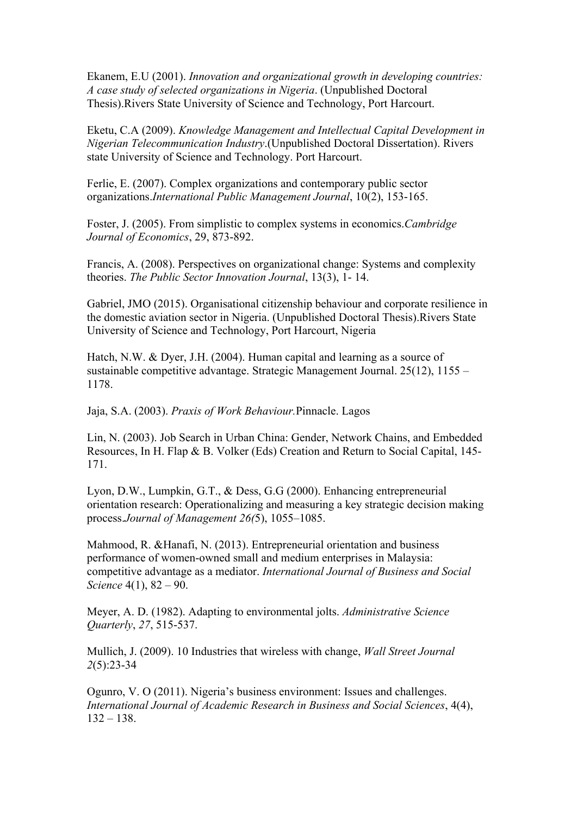Ekanem, E.U (2001). *Innovation and organizational growth in developing countries: A case study of selected organizations in Nigeria*. (Unpublished Doctoral Thesis).Rivers State University of Science and Technology, Port Harcourt.

Eketu, C.A (2009). *Knowledge Management and Intellectual Capital Development in Nigerian Telecommunication Industry*.(Unpublished Doctoral Dissertation). Rivers state University of Science and Technology. Port Harcourt.

Ferlie, E. (2007). Complex organizations and contemporary public sector organizations.*International Public Management Journal*, 10(2), 153-165.

Foster, J. (2005). From simplistic to complex systems in economics.*Cambridge Journal of Economics*, 29, 873-892.

Francis, A. (2008). Perspectives on organizational change: Systems and complexity theories. *The Public Sector Innovation Journal*, 13(3), 1- 14.

Gabriel, JMO (2015). Organisational citizenship behaviour and corporate resilience in the domestic aviation sector in Nigeria. (Unpublished Doctoral Thesis).Rivers State University of Science and Technology, Port Harcourt, Nigeria

Hatch, N.W. & Dyer, J.H. (2004). Human capital and learning as a source of sustainable competitive advantage. Strategic Management Journal. 25(12), 1155 – 1178.

Jaja, S.A. (2003). *Praxis of Work Behaviour.*Pinnacle. Lagos

Lin, N. (2003). Job Search in Urban China: Gender, Network Chains, and Embedded Resources, In H. Flap & B. Volker (Eds) Creation and Return to Social Capital, 145- 171.

Lyon, D.W., Lumpkin, G.T., & Dess, G.G (2000). Enhancing entrepreneurial orientation research: Operationalizing and measuring a key strategic decision making process.*Journal of Management 26(*5), 1055–1085.

Mahmood, R. &Hanafi, N. (2013). Entrepreneurial orientation and business performance of women-owned small and medium enterprises in Malaysia: competitive advantage as a mediator. *International Journal of Business and Social Science* 4(1), 82 – 90.

Meyer, A. D. (1982). Adapting to environmental jolts. *Administrative Science Quarterly*, *27*, 515-537.

Mullich, J. (2009). 10 Industries that wireless with change, *Wall Street Journal 2*(5):23-34

Ogunro, V. O (2011). Nigeria's business environment: Issues and challenges. *International Journal of Academic Research in Business and Social Sciences*, 4(4),  $132 - 138$ .